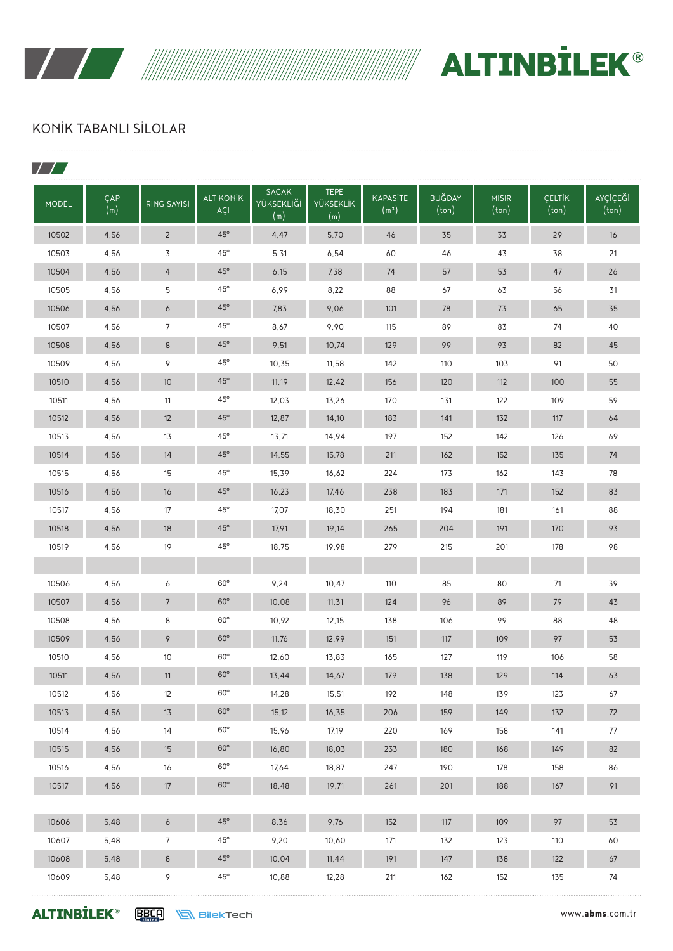

WWW. ALTINBILEK®

### KONİK TABANLI SİLOLAR

| <b>MODEL</b> | ÇAP<br>(m) | <b>RING SAYISI</b> | <b>ALT KONİK</b><br><b>ACI</b> | <b>SACAK</b><br>YÜKSEKLİĞİ<br>(m) | <b>TEPE</b><br><b>YÜKSEKLİK</b><br>(m) | <b>KAPASİTE</b><br>(m <sup>3</sup> ) | <b>BUĞDAY</b><br>(ton) | <b>MISIR</b><br>(ton) | <b>CELTIK</b><br>(ton) | <b>AYÇİÇEĞİ</b><br>(ton) |
|--------------|------------|--------------------|--------------------------------|-----------------------------------|----------------------------------------|--------------------------------------|------------------------|-----------------------|------------------------|--------------------------|
| 10502        | 4,56       | $\overline{2}$     | $45^\circ$                     | 4,47                              | 5,70                                   | 46                                   | 35                     | 33                    | 29                     | 16                       |
| 10503        | 4,56       | 3                  | $45^{\circ}$                   | 5,31                              | 6,54                                   | 60                                   | 46                     | 43                    | 38                     | 21                       |
| 10504        | 4.56       | 4                  | $45^\circ$                     | 6,15                              | 7,38                                   | 74                                   | 57                     | 53                    | 47                     | 26                       |
| 10505        | 4.56       | 5                  | $45^{\circ}$                   | 6.99                              | 8,22                                   | 88                                   | 67                     | 63                    | 56                     | 31                       |
| 10506        | 4,56       | 6                  | $45^\circ$                     | 7,83                              | 9,06                                   | 101                                  | 78                     | 73                    | 65                     | 35                       |
| 10507        | 4,56       | 7                  | $45^{\circ}$                   | 8,67                              | 9,90                                   | 115                                  | 89                     | 83                    | 74                     | 40                       |
| 10508        | 4,56       | 8                  | $45^\circ$                     | 9,51                              | 10,74                                  | 129                                  | 99                     | 93                    | 82                     | 45                       |
| 10509        | 4,56       | 9                  | $45^{\circ}$                   | 10,35                             | 11,58                                  | 142                                  | 110                    | 103                   | 91                     | 50                       |
| 10510        | 4.56       | 10                 | $45^\circ$                     | 11,19                             | 12,42                                  | 156                                  | 120                    | 112                   | 100                    | 55                       |
| 10511        | 4,56       | 11                 | $45^{\circ}$                   | 12,03                             | 13,26                                  | 170                                  | 131                    | 122                   | 109                    | 59                       |
| 10512        | 4.56       | 12                 | $45^\circ$                     | 12,87                             | 14,10                                  | 183                                  | 141                    | 132                   | 117                    | 64                       |
| 10513        | 4,56       | 13                 | $45^{\circ}$                   | 13,71                             | 14,94                                  | 197                                  | 152                    | 142                   | 126                    | 69                       |
| 10514        | 4,56       | 14                 | $45^\circ$                     | 14,55                             | 15,78                                  | 211                                  | 162                    | 152                   | 135                    | 74                       |
| 10515        | 4,56       | 15                 | $45^{\circ}$                   | 15,39                             | 16,62                                  | 224                                  | 173                    | 162                   | 143                    | 78                       |
| 10516        | 4,56       | 16                 | $45^\circ$                     | 16,23                             | 17,46                                  | 238                                  | 183                    | 171                   | 152                    | 83                       |
| 10517        | 4,56       | 17                 | $45^{\circ}$                   | 17.07                             | 18,30                                  | 251                                  | 194                    | 181                   | 161                    | 88                       |
| 10518        | 4.56       | 18                 | $45^\circ$                     | 17,91                             | 19,14                                  | 265                                  | 204                    | 191                   | 170                    | 93                       |
| 10519        | 4,56       | 19                 | $45^{\circ}$                   | 18,75                             | 19,98                                  | 279                                  | 215                    | 201                   | 178                    | 98                       |
|              |            |                    |                                |                                   |                                        |                                      |                        |                       |                        |                          |
| 10506        | 4,56       | 6                  | $60^\circ$                     | 9,24                              | 10,47                                  | 110                                  | 85                     | 80                    | 71                     | 39                       |
| 10507        | 4.56       | $\overline{7}$     | $60^\circ$                     | 10,08                             | 11, 31                                 | 124                                  | 96                     | 89                    | 79                     | 43                       |
| 10508        | 4,56       | 8                  | $60^\circ$                     | 10,92                             | 12,15                                  | 138                                  | 106                    | 99                    | 88                     | 48                       |
| 10509        | 4.56       | 9                  | $60^\circ$                     | 11,76                             | 12,99                                  | 151                                  | 117                    | 109                   | 97                     | 53                       |
| 10510        | 4.56       | 10                 | $60^\circ$                     | 12,60                             | 13,83                                  | 165                                  | 127                    | 119                   | 106                    | 58                       |
| 10511        | 4,56       | 11                 | $60^\circ$                     | 13,44                             | 14,67                                  | 179                                  | 138                    | 129                   | 114                    | 63                       |
| 10512        | 4,56       | 12                 | $60^{\circ}$                   | 14,28                             | 15,51                                  | 192                                  | 148                    | 139                   | 123                    | 67                       |
| 10513        | 4,56       | 13                 | $60^{\circ}$                   | 15,12                             | 16, 35                                 | 206                                  | 159                    | 149                   | 132                    | 72                       |
| 10514        | 4,56       | 14                 | $60^{\circ}$                   | 15,96                             | 17,19                                  | 220                                  | 169                    | 158                   | 141                    | 77                       |
| 10515        | 4,56       | 15                 | $60^\circ$                     | 16,80                             | 18,03                                  | 233                                  | 180                    | 168                   | 149                    | 82                       |
| 10516        | 4,56       | 16                 | $60^{\rm o}$                   | 17,64                             | 18,87                                  | 247                                  | 190                    | 178                   | 158                    | 86                       |
| 10517        | 4,56       | $17\text{ }$       | $60^\circ$                     | 18,48                             | 19,71                                  | 261                                  | 201                    | 188                   | 167                    | 91                       |
|              |            |                    |                                |                                   |                                        |                                      |                        |                       |                        |                          |
| 10606        | 5,48       | $\ddot{\circ}$     | $45^{\circ}$                   | 8,36                              | 9,76                                   | 152                                  | 117                    | 109                   | 97                     | 53                       |
| 10607        | 5,48       | $\overline{7}$     | $45^{\circ}$                   | 9,20                              | 10,60                                  | 171                                  | 132                    | 123                   | 110                    | 60                       |
| 10608        | 5,48       | 8                  | $45^{\circ}$                   | 10,04                             | 11,44                                  | 191                                  | 147                    | 138                   | 122                    | 67                       |
| 10609        | 5,48       | 9                  | $45^{\circ}$                   | 10,88                             | 12,28                                  | 211                                  | 162                    | 152                   | 135                    | 74                       |

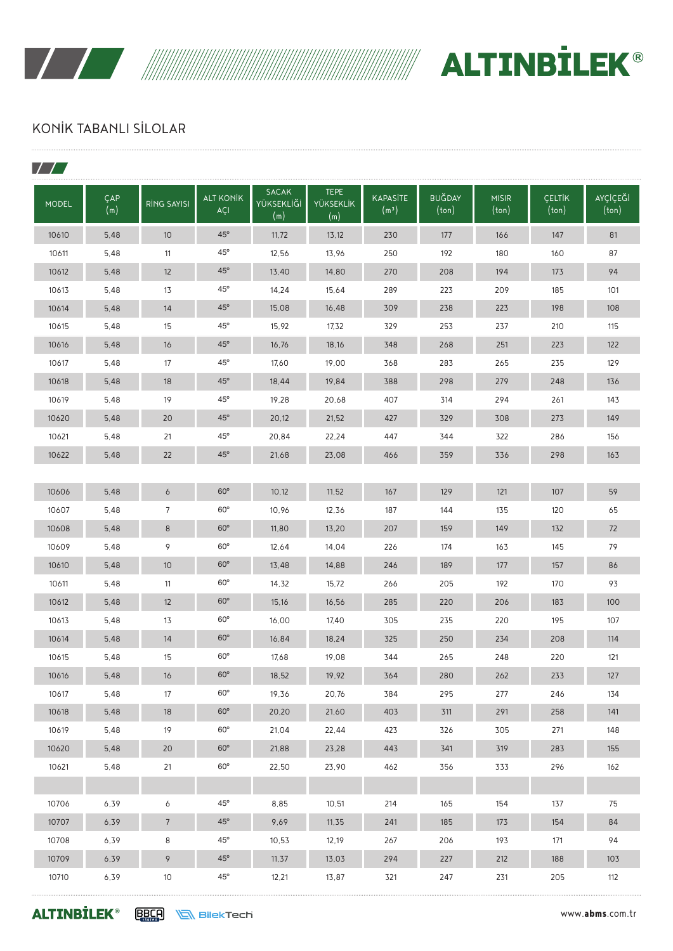

WWW. ALTINBILEK®

### KONİK TABANLI SİLOLAR

| <b>MODEL</b> | ÇAP<br>(m) | <b>RING SAYISI</b> | <b>ALT KONİK</b><br>AÇI | <b>SACAK</b><br>YÜKSEKLİĞİ<br>(m) | <b>TEPE</b><br><b>YÜKSEKLİK</b><br>(m) | <b>KAPASİTE</b><br>(m <sup>3</sup> ) | <b>BUĞDAY</b><br>(ton) | <b>MISIR</b><br>(ton) | <b>CELTIK</b><br>(ton) | AYÇİÇEĞİ<br>$(\text{ton})$ |
|--------------|------------|--------------------|-------------------------|-----------------------------------|----------------------------------------|--------------------------------------|------------------------|-----------------------|------------------------|----------------------------|
| 10610        | 5,48       | 10 <sup>°</sup>    | $45^\circ$              | 11,72                             | 13,12                                  | 230                                  | 177                    | 166                   | 147                    | 81                         |
| 10611        | 5,48       | 11                 | $45^{\circ}$            | 12,56                             | 13,96                                  | 250                                  | 192                    | 180                   | 160                    | 87                         |
| 10612        | 5,48       | 12                 | $45^\circ$              | 13,40                             | 14,80                                  | 270                                  | 208                    | 194                   | 173                    | 94                         |
| 10613        | 5,48       | 13                 | $45^{\circ}$            | 14,24                             | 15,64                                  | 289                                  | 223                    | 209                   | 185                    | 101                        |
| 10614        | 5,48       | 14                 | $45^\circ$              | 15,08                             | 16,48                                  | 309                                  | 238                    | 223                   | 198                    | 108                        |
| 10615        | 5,48       | 15                 | $45^{\circ}$            | 15,92                             | 17,32                                  | 329                                  | 253                    | 237                   | 210                    | 115                        |
| 10616        | 5,48       | 16                 | $45^\circ$              | 16,76                             | 18,16                                  | 348                                  | 268                    | 251                   | 223                    | 122                        |
| 10617        | 5,48       | 17                 | $45^{\circ}$            | 17,60                             | 19,00                                  | 368                                  | 283                    | 265                   | 235                    | 129                        |
| 10618        | 5,48       | 18                 | $45^\circ$              | 18,44                             | 19,84                                  | 388                                  | 298                    | 279                   | 248                    | 136                        |
| 10619        | 5,48       | 19                 | $45^{\circ}$            | 19,28                             | 20,68                                  | 407                                  | 314                    | 294                   | 261                    | 143                        |
| 10620        | 5,48       | 20                 | $45^\circ$              | 20,12                             | 21,52                                  | 427                                  | 329                    | 308                   | 273                    | 149                        |
| 10621        | 5,48       | 21                 | $45^{\circ}$            | 20,84                             | 22,24                                  | 447                                  | 344                    | 322                   | 286                    | 156                        |
| 10622        | 5,48       | 22                 | $45^\circ$              | 21,68                             | 23,08                                  | 466                                  | 359                    | 336                   | 298                    | 163                        |
|              |            |                    |                         |                                   |                                        |                                      |                        |                       |                        |                            |
| 10606        | 5,48       | 6                  | $60^\circ$              | 10,12                             | 11,52                                  | 167                                  | 129                    | 121                   | 107                    | 59                         |
| 10607        | 5,48       | 7                  | $60^\circ$              | 10,96                             | 12,36                                  | 187                                  | 144                    | 135                   | 120                    | 65                         |
| 10608        | 5,48       | 8                  | $60^\circ$              | 11,80                             | 13,20                                  | 207                                  | 159                    | 149                   | 132                    | 72                         |
| 10609        | 5,48       | 9                  | $60^\circ$              | 12,64                             | 14,04                                  | 226                                  | 174                    | 163                   | 145                    | 79                         |
| 10610        | 5,48       | 10                 | $60^\circ$              | 13,48                             | 14,88                                  | 246                                  | 189                    | 177                   | 157                    | 86                         |
| 10611        | 5,48       | 11                 | $60^\circ$              | 14,32                             | 15,72                                  | 266                                  | 205                    | 192                   | 170                    | 93                         |
| 10612        | 5,48       | 12                 | $60^\circ$              | 15,16                             | 16,56                                  | 285                                  | 220                    | 206                   | 183                    | 100                        |
| 10613        | 5,48       | 13                 | $60^\circ$              | 16,00                             | 17,40                                  | 305                                  | 235                    | 220                   | 195                    | 107                        |
| 10614        | 5,48       | 14                 | $60^\circ$              | 16,84                             | 18,24                                  | 325                                  | 250                    | 234                   | 208                    | 114                        |
| 10615        | 5,48       | 15                 | $60^\circ$              | 17,68                             | 19,08                                  | 344                                  | 265                    | 248                   | 220                    | 121                        |
| 10616        | 5,48       | 16                 | $60^\circ$              | 18,52                             | 19,92                                  | 364                                  | 280                    | 262                   | 233                    | 127                        |
| 10617        | 5,48       | 17                 | $60^{\circ}$            | 19,36                             | 20,76                                  | 384                                  | 295                    | 277                   | 246                    | 134                        |
| 10618        | 5,48       | 18                 | $60^{\rm o}$            | 20,20                             | 21,60                                  | 403                                  | 311                    | 291                   | 258                    | 141                        |
| 10619        | 5,48       | 19                 | $60^{\circ}$            | 21,04                             | 22,44                                  | 423                                  | 326                    | 305                   | 271                    | 148                        |
| 10620        | 5,48       | 20                 | $60^\circ$              | 21,88                             | 23,28                                  | 443                                  | 341                    | 319                   | 283                    | 155                        |
| 10621        | 5,48       | 21                 | $60^{\rm o}$            | 22,50                             | 23,90                                  | 462                                  | 356                    | 333                   | 296                    | 162                        |
|              |            |                    |                         |                                   |                                        |                                      |                        |                       |                        |                            |
| 10706        | 6,39       | 6                  | $45^{\circ}$            | 8,85                              | 10,51                                  | 214                                  | 165                    | 154                   | 137                    | 75                         |
| 10707        | 6,39       | $7\overline{ }$    | $45^{\circ}$            | 9,69                              | 11,35                                  | 241                                  | 185                    | 173                   | 154                    | 84                         |
| 10708        | 6,39       | 8                  | $45^{\circ}$            | 10,53                             | 12,19                                  | 267                                  | 206                    | 193                   | 171                    | 94                         |
| 10709        | 6,39       | 9                  | $45^{\circ}$            | 11, 37                            | 13,03                                  | 294                                  | 227                    | 212                   | 188                    | 103                        |
| 10710        | 6,39       | $10$               | $45^{\circ}$            | 12,21                             | 13,87                                  | 321                                  | 247                    | 231                   | 205                    | 112                        |

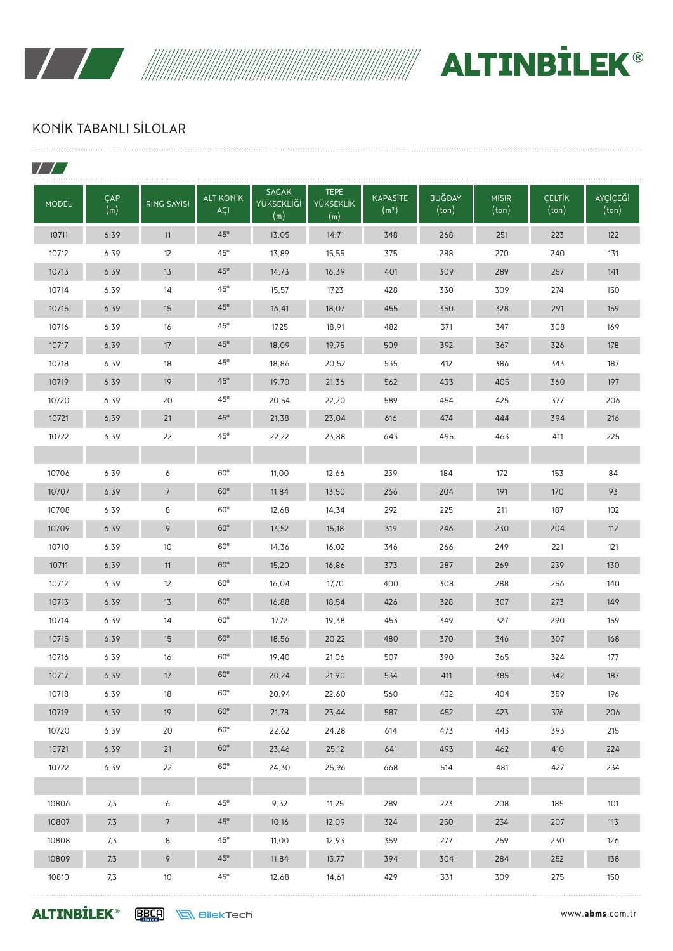



### KONİK TABANLI SİLOLAR

| <b>MODEL</b> | ÇAP<br>(m) | <b>RİNG SAYISI</b> | <b>ALT KONİK</b><br>AÇI | <b>SACAK</b><br>YÜKSEKLİĞİ<br>(m) | <b>TEPE</b><br><b>YÜKSEKLİK</b><br>(m) | <b>KAPASITE</b><br>(m <sup>3</sup> ) | <b>BUGDAY</b><br>(ton) | <b>MISIR</b><br>(ton) | <b>CELTIK</b><br>$(\text{ton})$ | <b>AYÇİÇEĞİ</b><br>(ton) |
|--------------|------------|--------------------|-------------------------|-----------------------------------|----------------------------------------|--------------------------------------|------------------------|-----------------------|---------------------------------|--------------------------|
| 10711        | 6,39       | 11                 | $45^\circ$              | 13,05                             | 14,71                                  | 348                                  | 268                    | 251                   | 223                             | 122                      |
| 10712        | 6,39       | 12                 | $45^\circ$              | 13.89                             | 15,55                                  | 375                                  | 288                    | 270                   | 240                             | 131                      |
| 10713        | 6,39       | 13                 | $45^\circ$              | 14,73                             | 16,39                                  | 401                                  | 309                    | 289                   | 257                             | 141                      |
| 10714        | 6,39       | 14                 | $45^{\circ}$            | 15,57                             | 17,23                                  | 428                                  | 330                    | 309                   | 274                             | 150                      |
| 10715        | 6,39       | 15                 | $45^\circ$              | 16,41                             | 18,07                                  | 455                                  | 350                    | 328                   | 291                             | 159                      |
| 10716        | 6.39       | 16                 | $45^{\circ}$            | 17,25                             | 18,91                                  | 482                                  | 371                    | 347                   | 308                             | 169                      |
| 10717        | 6,39       | 17                 | $45^\circ$              | 18,09                             | 19,75                                  | 509                                  | 392                    | 367                   | 326                             | 178                      |
| 10718        | 6,39       | 18                 | $45^{\circ}$            | 18,86                             | 20,52                                  | 535                                  | 412                    | 386                   | 343                             | 187                      |
| 10719        | 6,39       | 19                 | $45^\circ$              | 19,70                             | 21,36                                  | 562                                  | 433                    | 405                   | 360                             | 197                      |
| 10720        | 6,39       | 20                 | $45^{\circ}$            | 20,54                             | 22,20                                  | 589                                  | 454                    | 425                   | 377                             | 206                      |
| 10721        | 6,39       | 21                 | $45^\circ$              | 21,38                             | 23,04                                  | 616                                  | 474                    | 444                   | 394                             | 216                      |
| 10722        | 6,39       | 22                 | $45^{\circ}$            | 22,22                             | 23,88                                  | 643                                  | 495                    | 463                   | 411                             | 225                      |
|              |            |                    |                         |                                   |                                        |                                      |                        |                       |                                 |                          |
| 10706        | 6,39       | 6                  | $60^\circ$              | 11,00                             | 12,66                                  | 239                                  | 184                    | 172                   | 153                             | 84                       |
| 10707        | 6,39       | $\overline{7}$     | $60^\circ$              | 11,84                             | 13,50                                  | 266                                  | 204                    | 191                   | 170                             | 93                       |
| 10708        | 6,39       | 8                  | $60^\circ$              | 12,68                             | 14,34                                  | 292                                  | 225                    | 211                   | 187                             | 102                      |
| 10709        | 6,39       | 9                  | $60^\circ$              | 13,52                             | 15,18                                  | 319                                  | 246                    | 230                   | 204                             | 112                      |
| 10710        | 6,39       | 10                 | $60^\circ$              | 14,36                             | 16,02                                  | 346                                  | 266                    | 249                   | 221                             | 121                      |
| 10711        | 6,39       | 11                 | $60^\circ$              | 15,20                             | 16,86                                  | 373                                  | 287                    | 269                   | 239                             | 130                      |
| 10712        | 6,39       | 12                 | $60^\circ$              | 16,04                             | 17,70                                  | 400                                  | 308                    | 288                   | 256                             | 140                      |
| 10713        | 6,39       | 13                 | $60^\circ$              | 16,88                             | 18,54                                  | 426                                  | 328                    | 307                   | 273                             | 149                      |
| 10714        | 6,39       | 14                 | $60^\circ$              | 17,72                             | 19,38                                  | 453                                  | 349                    | 327                   | 290                             | 159                      |
| 10715        | 6,39       | 15                 | $60^\circ$              | 18,56                             | 20,22                                  | 480                                  | 370                    | 346                   | 307                             | 168                      |
| 10716        | 6.39       | 16                 | $60^\circ$              | 19,40                             | 21,06                                  | 507                                  | 390                    | 365                   | 324                             | 177                      |
| 10717        | 6,39       | 17                 | $60^\circ$              | 20,24                             | 21,90                                  | 534                                  | 411                    | 385                   | 342                             | 187                      |
| 10718        | 6,39       | 18                 | $60^{\circ}$            | 20,94                             | 22,60                                  | 560                                  | 432                    | 404                   | 359                             | 196                      |
| 10719        | 6,39       | 19                 | $60^\circ$              | 21,78                             | 23,44                                  | 587                                  | 452                    | 423                   | 376                             | 206                      |
| 10720        | 6,39       | 20                 | $60^{\circ}$            | 22,62                             | 24,28                                  | 614                                  | 473                    | 443                   | 393                             | 215                      |
| 10721        | 6,39       | 21                 | $60^\circ$              | 23,46                             | 25,12                                  | 641                                  | 493                    | 462                   | 410                             | 224                      |
| 10722        | 6,39       | 22                 | $60^{\circ}$            | 24,30                             | 25,96                                  | 668                                  | 514                    | 481                   | 427                             | 234                      |
|              |            |                    |                         |                                   |                                        |                                      |                        |                       |                                 |                          |
| 10806        | 7,3        | 6                  | $45^{\circ}$            | 9,32                              | 11,25                                  | 289                                  | 223                    | 208                   | 185                             | 101                      |
| 10807        | 7,3        | $\overline{7}$     | 45°                     | 10,16                             | 12,09                                  | 324                                  | 250                    | 234                   | 207                             | 113                      |
| 10808        | 7,3        | 8                  | $45^{\circ}$            | 11,00                             | 12,93                                  | 359                                  | 277                    | 259                   | 230                             | 126                      |
| 10809        | 7,3        | 9                  | $45^{\circ}$            | 11,84                             | 13,77                                  | 394                                  | 304                    | 284                   | 252                             | 138                      |
| 10810        | 7,3        | 10                 | $45^{\circ}$            | 12,68                             | 14,61                                  | 429                                  | 331                    | 309                   | 275                             | 150                      |

**ALTINBİLEK**<sup>®</sup> ERES NEMBIREKTECH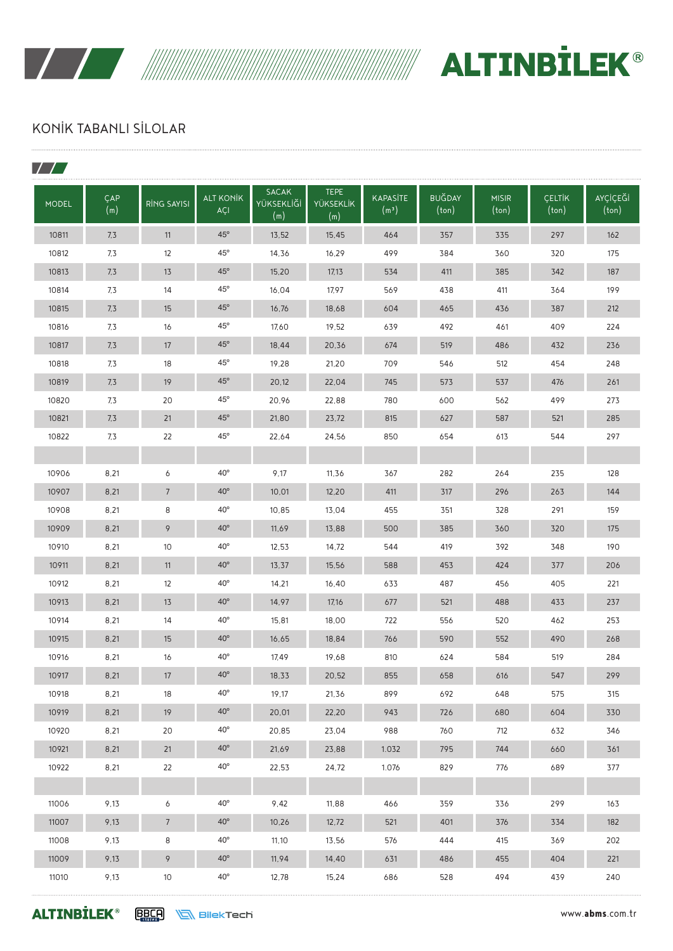

 $\overline{\phantom{a}}$ 

WWW. ALTINBILEK®

# KONİK TABANLI SİLOLAR

| $\sqrt{2}$   |            |                    |                         |                                   |                                        |                                      |                        |                       |                        |                            |
|--------------|------------|--------------------|-------------------------|-----------------------------------|----------------------------------------|--------------------------------------|------------------------|-----------------------|------------------------|----------------------------|
| <b>MODEL</b> | ÇAP<br>(m) | <b>RING SAYISI</b> | <b>ALT KONİK</b><br>AÇI | <b>SACAK</b><br>YÜKSEKLİĞİ<br>(m) | <b>TEPE</b><br><b>YÜKSEKLİK</b><br>(m) | <b>KAPASİTE</b><br>(m <sup>3</sup> ) | <b>BUĞDAY</b><br>(ton) | <b>MISIR</b><br>(ton) | <b>CELTIK</b><br>(ton) | AYÇİÇEĞİ<br>$(\text{ton})$ |
| 10811        | 7,3        | 11                 | $45^\circ$              | 13,52                             | 15,45                                  | 464                                  | 357                    | 335                   | 297                    | 162                        |
| 10812        | 7,3        | 12                 | $45^{\circ}$            | 14,36                             | 16,29                                  | 499                                  | 384                    | 360                   | 320                    | 175                        |
| 10813        | 7,3        | 13                 | $45^\circ$              | 15,20                             | 17,13                                  | 534                                  | 411                    | 385                   | 342                    | 187                        |
| 10814        | 7,3        | 14                 | $45^{\circ}$            | 16,04                             | 17,97                                  | 569                                  | 438                    | 411                   | 364                    | 199                        |
| 10815        | 7,3        | 15                 | $45^\circ$              | 16,76                             | 18,68                                  | 604                                  | 465                    | 436                   | 387                    | 212                        |
| 10816        | 7,3        | 16                 | $45^{\circ}$            | 17,60                             | 19,52                                  | 639                                  | 492                    | 461                   | 409                    | 224                        |
| 10817        | 7,3        | 17                 | $45^{\circ}$            | 18,44                             | 20,36                                  | 674                                  | 519                    | 486                   | 432                    | 236                        |
| 10818        | 7,3        | 18                 | $45^{\circ}$            | 19,28                             | 21,20                                  | 709                                  | 546                    | 512                   | 454                    | 248                        |
| 10819        | 7,3        | 19                 | $45^\circ$              | 20,12                             | 22,04                                  | 745                                  | 573                    | 537                   | 476                    | 261                        |
| 10820        | 7,3        | 20                 | $45^{\circ}$            | 20,96                             | 22,88                                  | 780                                  | 600                    | 562                   | 499                    | 273                        |
| 10821        | 7,3        | 21                 | $45^\circ$              | 21,80                             | 23,72                                  | 815                                  | 627                    | 587                   | 521                    | 285                        |
| 10822        | 7,3        | 22                 | $45^{\circ}$            | 22,64                             | 24,56                                  | 850                                  | 654                    | 613                   | 544                    | 297                        |
|              |            |                    |                         |                                   |                                        |                                      |                        |                       |                        |                            |
| 10906        | 8,21       | 6                  | $40^{\circ}$            | 9,17                              | 11,36                                  | 367                                  | 282                    | 264                   | 235                    | 128                        |
| 10907        | 8,21       | $7\overline{ }$    | $40^\circ$              | 10,01                             | 12,20                                  | 411                                  | 317                    | 296                   | 263                    | 144                        |
| 10908        | 8,21       | 8                  | $40^{\circ}$            | 10,85                             | 13,04                                  | 455                                  | 351                    | 328                   | 291                    | 159                        |
| 10909        | 8,21       | 9                  | $40^\circ$              | 11,69                             | 13,88                                  | 500                                  | 385                    | 360                   | 320                    | 175                        |
| 10910        | 8,21       | 10                 | $40^{\circ}$            | 12,53                             | 14,72                                  | 544                                  | 419                    | 392                   | 348                    | 190                        |
| 10911        | 8,21       | 11                 | $40^\circ$              | 13,37                             | 15,56                                  | 588                                  | 453                    | 424                   | 377                    | 206                        |
| 10912        | 8,21       | 12                 | $40^{\circ}$            | 14,21                             | 16,40                                  | 633                                  | 487                    | 456                   | 405                    | 221                        |
| 10913        | 8,21       | 13                 | $40^{\circ}$            | 14,97                             | 17,16                                  | 677                                  | 521                    | 488                   | 433                    | 237                        |
| 10914        | 8,21       | 14                 | $40^{\circ}$            | 15,81                             | 18,00                                  | 722                                  | 556                    | 520                   | 462                    | 253                        |
| 10915        | 8,21       | 15                 | $40^\circ$              | 16,65                             | 18,84                                  | 766                                  | 590                    | 552                   | 490                    | 268                        |
| 10916        | 8,21       | 16                 | $40^\circ$              | 17,49                             | 19,68                                  | 810                                  | 624                    | 584                   | 519                    | 284                        |
| 10917        | 8,21       | 17                 | $40^{\rm o}$            | 18,33                             | 20,52                                  | 855                                  | 658                    | 616                   | 547                    | 299                        |
| 10918        | 8,21       | 18                 | $40^{\circ}$            | 19,17                             | 21,36                                  | 899                                  | 692                    | 648                   | 575                    | 315                        |
| 10919        | 8,21       | 19                 | $40^{\circ}$            | 20,01                             | 22,20                                  | 943                                  | 726                    | 680                   | 604                    | 330                        |
| 10920        | 8,21       | 20                 | $40^{\circ}$            | 20,85                             | 23,04                                  | 988                                  | 760                    | 712                   | 632                    | 346                        |
| 10921        | 8,21       | 21                 | $40^{\circ}$            | 21,69                             | 23,88                                  | 1.032                                | 795                    | 744                   | 660                    | 361                        |
| 10922        | 8,21       | 22                 | $40^{\circ}$            | 22,53                             | 24,72                                  | 1.076                                | 829                    | 776                   | 689                    | 377                        |
|              |            |                    |                         |                                   |                                        |                                      |                        |                       |                        |                            |
| 11006        | 9,13       | 6                  | $40^{\rm o}$            | 9,42                              | 11,88                                  | 466                                  | 359                    | 336                   | 299                    | 163                        |
| 11007        | 9,13       | $7\overline{ }$    | $40^{\rm o}$            | 10,26                             | 12,72                                  | 521                                  | 401                    | 376                   | 334                    | 182                        |
| 11008        | 9,13       | 8                  | $40^{\circ}$            | 11,10                             | 13,56                                  | 576                                  | 444                    | 415                   | 369                    | 202                        |
| 11009        | 9,13       | 9                  | $40^{\circ}$            | 11,94                             | 14,40                                  | 631                                  | 486                    | 455                   | 404                    | 221                        |
| 11010        | 9,13       | 10                 | $40^{\rm o}$            | 12,78                             | 15,24                                  | 686                                  | 528                    | 494                   | 439                    | 240                        |